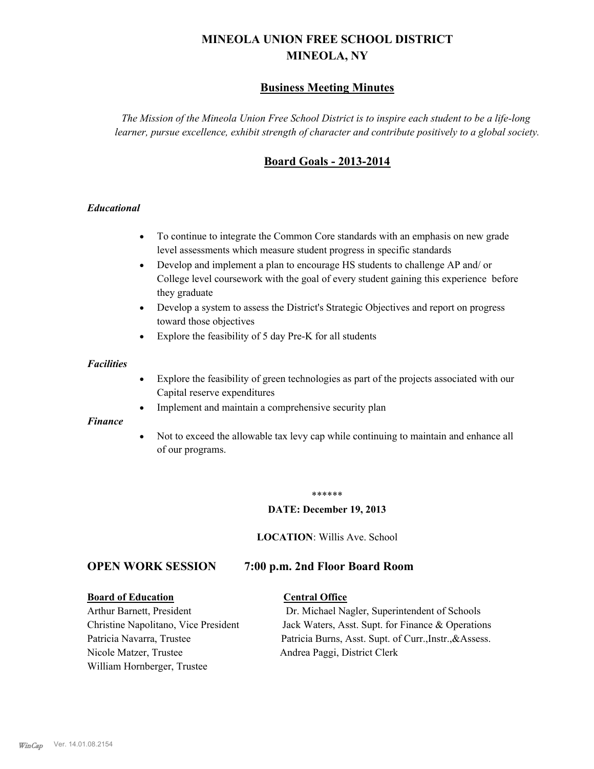# **MINEOLA UNION FREE SCHOOL DISTRICT MINEOLA, NY**

# **Business Meeting Minutes**

*The Mission of the Mineola Union Free School District is to inspire each student to be a life-long learner, pursue excellence, exhibit strength of character and contribute positively to a global society.*

# **Board Goals - 2013-2014**

#### *Educational*

- · To continue to integrate the Common Core standards with an emphasis on new grade level assessments which measure student progress in specific standards
- · Develop and implement a plan to encourage HS students to challenge AP and/ or College level coursework with the goal of every student gaining this experience before they graduate
- Develop a system to assess the District's Strategic Objectives and report on progress toward those objectives
- · Explore the feasibility of 5 day Pre-K for all students

#### *Facilities*

- · Explore the feasibility of green technologies as part of the projects associated with our Capital reserve expenditures
- Implement and maintain a comprehensive security plan

#### *Finance*

• Not to exceed the allowable tax levy cap while continuing to maintain and enhance all of our programs.

#### \*\*\*\*\*\*

#### **DATE: December 19, 2013**

**LOCATION**: Willis Ave. School

# **OPEN WORK SESSION 7:00 p.m. 2nd Floor Board Room**

#### **Board of Education Central Office**

Nicole Matzer, Trustee Andrea Paggi, District Clerk William Hornberger, Trustee

Arthur Barnett, President Dr. Michael Nagler, Superintendent of Schools Christine Napolitano, Vice President Jack Waters, Asst. Supt. for Finance & Operations Patricia Navarra, Trustee Patricia Burns, Asst. Supt. of Curr., Instr., &Assess.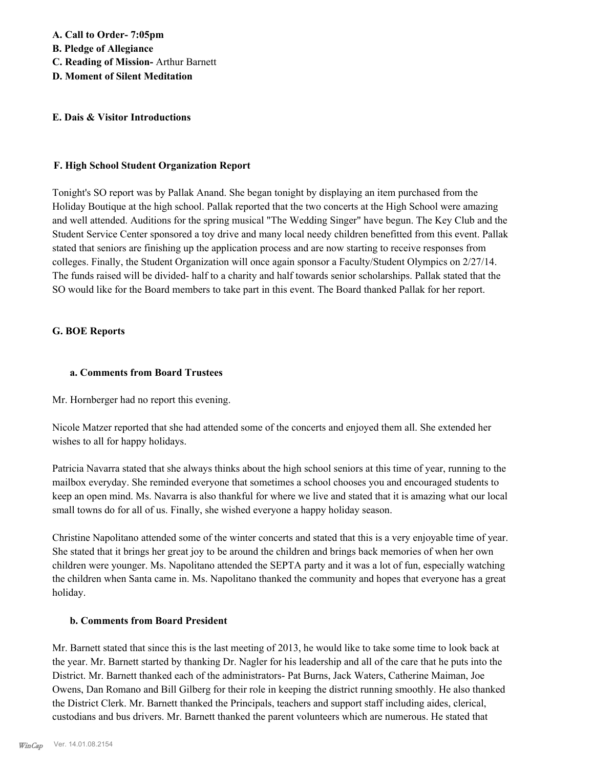#### **E. Dais & Visitor Introductions**

#### **F. High School Student Organization Report**

Tonight's SO report was by Pallak Anand. She began tonight by displaying an item purchased from the Holiday Boutique at the high school. Pallak reported that the two concerts at the High School were amazing and well attended. Auditions for the spring musical "The Wedding Singer" have begun. The Key Club and the Student Service Center sponsored a toy drive and many local needy children benefitted from this event. Pallak stated that seniors are finishing up the application process and are now starting to receive responses from colleges. Finally, the Student Organization will once again sponsor a Faculty/Student Olympics on 2/27/14. The funds raised will be divided- half to a charity and half towards senior scholarships. Pallak stated that the SO would like for the Board members to take part in this event. The Board thanked Pallak for her report.

#### **G. BOE Reports**

#### **a. Comments from Board Trustees**

Mr. Hornberger had no report this evening.

Nicole Matzer reported that she had attended some of the concerts and enjoyed them all. She extended her wishes to all for happy holidays.

Patricia Navarra stated that she always thinks about the high school seniors at this time of year, running to the mailbox everyday. She reminded everyone that sometimes a school chooses you and encouraged students to keep an open mind. Ms. Navarra is also thankful for where we live and stated that it is amazing what our local small towns do for all of us. Finally, she wished everyone a happy holiday season.

Christine Napolitano attended some of the winter concerts and stated that this is a very enjoyable time of year. She stated that it brings her great joy to be around the children and brings back memories of when her own children were younger. Ms. Napolitano attended the SEPTA party and it was a lot of fun, especially watching the children when Santa came in. Ms. Napolitano thanked the community and hopes that everyone has a great holiday.

#### **b. Comments from Board President**

Mr. Barnett stated that since this is the last meeting of 2013, he would like to take some time to look back at the year. Mr. Barnett started by thanking Dr. Nagler for his leadership and all of the care that he puts into the District. Mr. Barnett thanked each of the administrators- Pat Burns, Jack Waters, Catherine Maiman, Joe Owens, Dan Romano and Bill Gilberg for their role in keeping the district running smoothly. He also thanked the District Clerk. Mr. Barnett thanked the Principals, teachers and support staff including aides, clerical, custodians and bus drivers. Mr. Barnett thanked the parent volunteers which are numerous. He stated that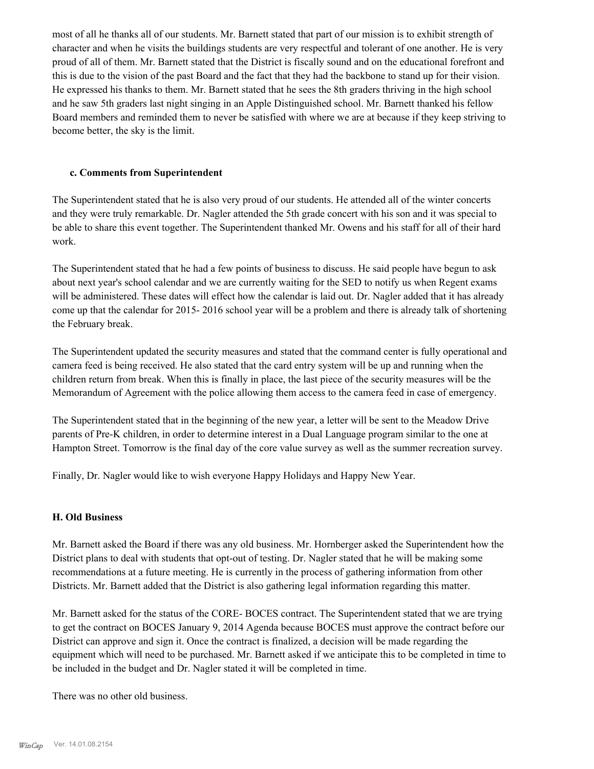most of all he thanks all of our students. Mr. Barnett stated that part of our mission is to exhibit strength of character and when he visits the buildings students are very respectful and tolerant of one another. He is very proud of all of them. Mr. Barnett stated that the District is fiscally sound and on the educational forefront and this is due to the vision of the past Board and the fact that they had the backbone to stand up for their vision. He expressed his thanks to them. Mr. Barnett stated that he sees the 8th graders thriving in the high school and he saw 5th graders last night singing in an Apple Distinguished school. Mr. Barnett thanked his fellow Board members and reminded them to never be satisfied with where we are at because if they keep striving to become better, the sky is the limit.

#### **c. Comments from Superintendent**

The Superintendent stated that he is also very proud of our students. He attended all of the winter concerts and they were truly remarkable. Dr. Nagler attended the 5th grade concert with his son and it was special to be able to share this event together. The Superintendent thanked Mr. Owens and his staff for all of their hard work.

The Superintendent stated that he had a few points of business to discuss. He said people have begun to ask about next year's school calendar and we are currently waiting for the SED to notify us when Regent exams will be administered. These dates will effect how the calendar is laid out. Dr. Nagler added that it has already come up that the calendar for 2015- 2016 school year will be a problem and there is already talk of shortening the February break.

The Superintendent updated the security measures and stated that the command center is fully operational and camera feed is being received. He also stated that the card entry system will be up and running when the children return from break. When this is finally in place, the last piece of the security measures will be the Memorandum of Agreement with the police allowing them access to the camera feed in case of emergency.

The Superintendent stated that in the beginning of the new year, a letter will be sent to the Meadow Drive parents of Pre-K children, in order to determine interest in a Dual Language program similar to the one at Hampton Street. Tomorrow is the final day of the core value survey as well as the summer recreation survey.

Finally, Dr. Nagler would like to wish everyone Happy Holidays and Happy New Year.

#### **H. Old Business**

Mr. Barnett asked the Board if there was any old business. Mr. Hornberger asked the Superintendent how the District plans to deal with students that opt-out of testing. Dr. Nagler stated that he will be making some recommendations at a future meeting. He is currently in the process of gathering information from other Districts. Mr. Barnett added that the District is also gathering legal information regarding this matter.

Mr. Barnett asked for the status of the CORE- BOCES contract. The Superintendent stated that we are trying to get the contract on BOCES January 9, 2014 Agenda because BOCES must approve the contract before our District can approve and sign it. Once the contract is finalized, a decision will be made regarding the equipment which will need to be purchased. Mr. Barnett asked if we anticipate this to be completed in time to be included in the budget and Dr. Nagler stated it will be completed in time.

There was no other old business.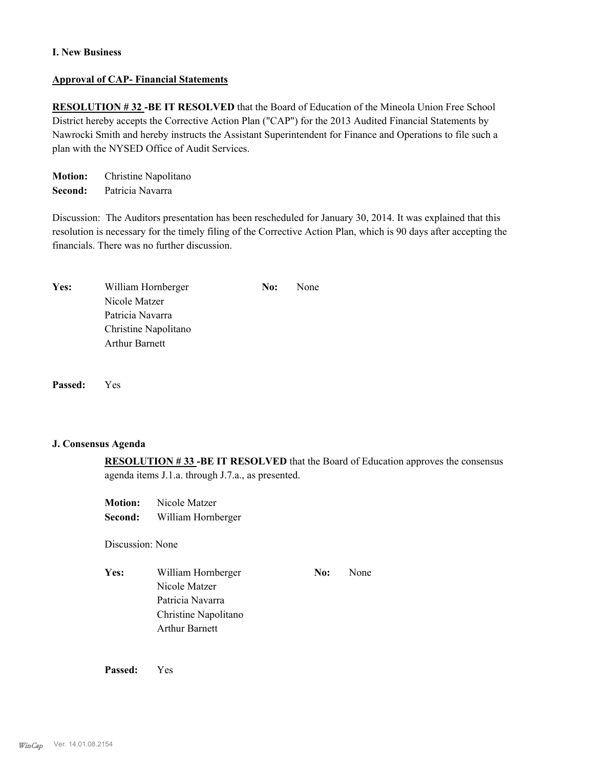#### **I. New Business**

#### **Approval of CAP- Financial Statements**

**RESOLUTION # 32 -BE IT RESOLVED** that the Board of Education of the Mineola Union Free School District hereby accepts the Corrective Action Plan ("CAP") for the 2013 Audited Financial Statements by Nawrocki Smith and hereby instructs the Assistant Superintendent for Finance and Operations to file such a plan with the NYSED Office of Audit Services.

**Motion:** Christine Napolitano **Second:** Patricia Navarra

Discussion: The Auditors presentation has been rescheduled for January 30, 2014. It was explained that this resolution is necessary for the timely filing of the Corrective Action Plan, which is 90 days after accepting the financials. There was no further discussion.

| William Hornberger    | No: | None |
|-----------------------|-----|------|
| Nicole Matzer         |     |      |
| Patricia Navarra      |     |      |
| Christine Napolitano  |     |      |
| <b>Arthur Barnett</b> |     |      |
|                       |     |      |

**Passed:** Yes

#### **J. Consensus Agenda**

**RESOLUTION # 33 -BE IT RESOLVED** that the Board of Education approves the consensus agenda items J.1.a. through J.7.a., as presented.

**Motion:** Nicole Matzer **Second:** William Hornberger

Discussion: None

Yes: William Hornberger **No:** None Nicole Matzer Patricia Navarra Christine Napolitano Arthur Barnett

**Passed:** Yes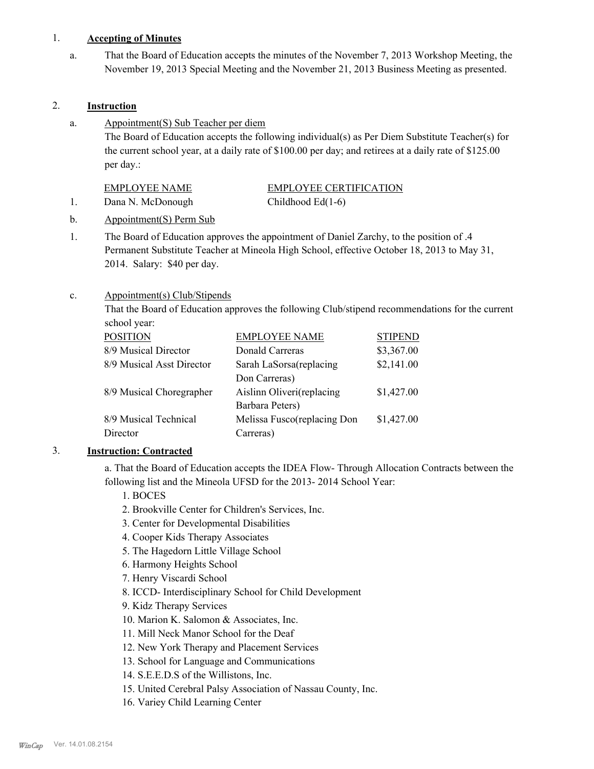#### 1. **Accepting of Minutes**

That the Board of Education accepts the minutes of the November 7, 2013 Workshop Meeting, the November 19, 2013 Special Meeting and the November 21, 2013 Business Meeting as presented. a.

## 2. **Instruction**

Appointment(S) Sub Teacher per diem a.

> The Board of Education accepts the following individual(s) as Per Diem Substitute Teacher(s) for the current school year, at a daily rate of \$100.00 per day; and retirees at a daily rate of \$125.00 per day.:

# EMPLOYEE CERTIFICATION

1. Dana N. McDonough Childhood Ed(1-6)

- b. Appointment(S) Perm Sub
- The Board of Education approves the appointment of Daniel Zarchy, to the position of .4 Permanent Substitute Teacher at Mineola High School, effective October 18, 2013 to May 31, 2014. Salary: \$40 per day. 1.

#### Appointment(s) Club/Stipends c.

That the Board of Education approves the following Club/stipend recommendations for the current school year:

| <b>POSITION</b>           | <b>EMPLOYEE NAME</b>        | <b>STIPEND</b> |
|---------------------------|-----------------------------|----------------|
| 8/9 Musical Director      | Donald Carreras             | \$3,367.00     |
| 8/9 Musical Asst Director | Sarah LaSorsa(replacing     | \$2,141.00     |
|                           | Don Carreras)               |                |
| 8/9 Musical Choregrapher  | Aislinn Oliveri(replacing   | \$1,427.00     |
|                           | Barbara Peters)             |                |
| 8/9 Musical Technical     | Melissa Fusco(replacing Don | \$1,427.00     |
| Director                  | Carreras)                   |                |

# 3. **Instruction: Contracted**

a. That the Board of Education accepts the IDEA Flow- Through Allocation Contracts between the following list and the Mineola UFSD for the 2013- 2014 School Year:

- 1. BOCES
- 2. Brookville Center for Children's Services, Inc.
- 3. Center for Developmental Disabilities
- 4. Cooper Kids Therapy Associates
- 5. The Hagedorn Little Village School
- 6. Harmony Heights School
- 7. Henry Viscardi School
- 8. ICCD- Interdisciplinary School for Child Development
- 9. Kidz Therapy Services
- 10. Marion K. Salomon & Associates, Inc.
- 11. Mill Neck Manor School for the Deaf
- 12. New York Therapy and Placement Services
- 13. School for Language and Communications
- 14. S.E.E.D.S of the Willistons, Inc.
- 15. United Cerebral Palsy Association of Nassau County, Inc.
- 16. Variey Child Learning Center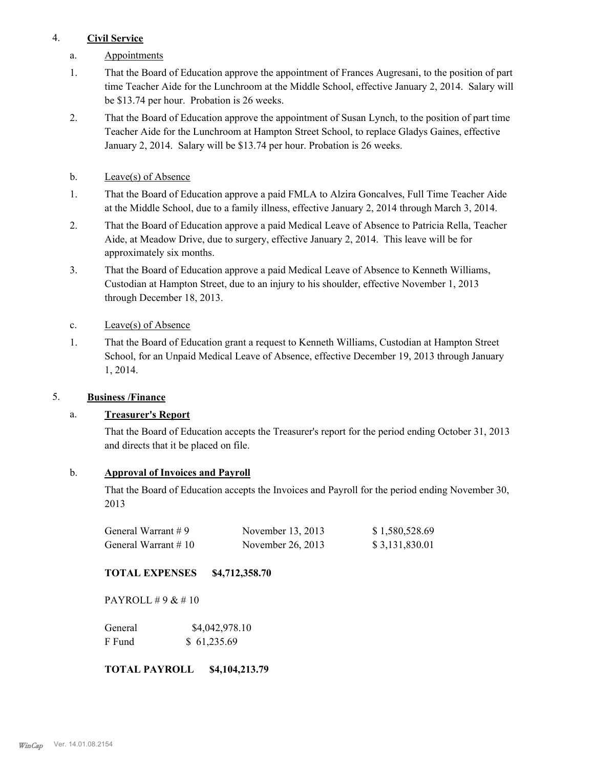#### 4. **Civil Service**

- a. Appointments
- That the Board of Education approve the appointment of Frances Augresani, to the position of part time Teacher Aide for the Lunchroom at the Middle School, effective January 2, 2014. Salary will be \$13.74 per hour. Probation is 26 weeks. 1.
- That the Board of Education approve the appointment of Susan Lynch, to the position of part time Teacher Aide for the Lunchroom at Hampton Street School, to replace Gladys Gaines, effective January 2, 2014. Salary will be \$13.74 per hour. Probation is 26 weeks. 2.
- b. Leave(s) of Absence
- That the Board of Education approve a paid FMLA to Alzira Goncalves, Full Time Teacher Aide at the Middle School, due to a family illness, effective January 2, 2014 through March 3, 2014. 1.
- That the Board of Education approve a paid Medical Leave of Absence to Patricia Rella, Teacher Aide, at Meadow Drive, due to surgery, effective January 2, 2014. This leave will be for approximately six months. 2.
- That the Board of Education approve a paid Medical Leave of Absence to Kenneth Williams, Custodian at Hampton Street, due to an injury to his shoulder, effective November 1, 2013 through December 18, 2013. 3.
- c. Leave(s) of Absence
- That the Board of Education grant a request to Kenneth Williams, Custodian at Hampton Street School, for an Unpaid Medical Leave of Absence, effective December 19, 2013 through January 1, 2014. 1.

#### 5. **Business /Finance**

#### a. **Treasurer's Report**

That the Board of Education accepts the Treasurer's report for the period ending October 31, 2013 and directs that it be placed on file.

#### b. **Approval of Invoices and Payroll**

That the Board of Education accepts the Invoices and Payroll for the period ending November 30, 2013

| General Warrant $#9$    | November 13, 2013 | \$1,580,528.69 |
|-------------------------|-------------------|----------------|
| General Warrant $\#$ 10 | November 26, 2013 | \$3,131,830.01 |

#### **TOTAL EXPENSES \$4,712,358.70**

PAYROLL  $\# 9 \& \# 10$ 

| General | \$4,042,978.10 |
|---------|----------------|
| F Fund  | \$61,235.69    |

## **TOTAL PAYROLL \$4,104,213.79**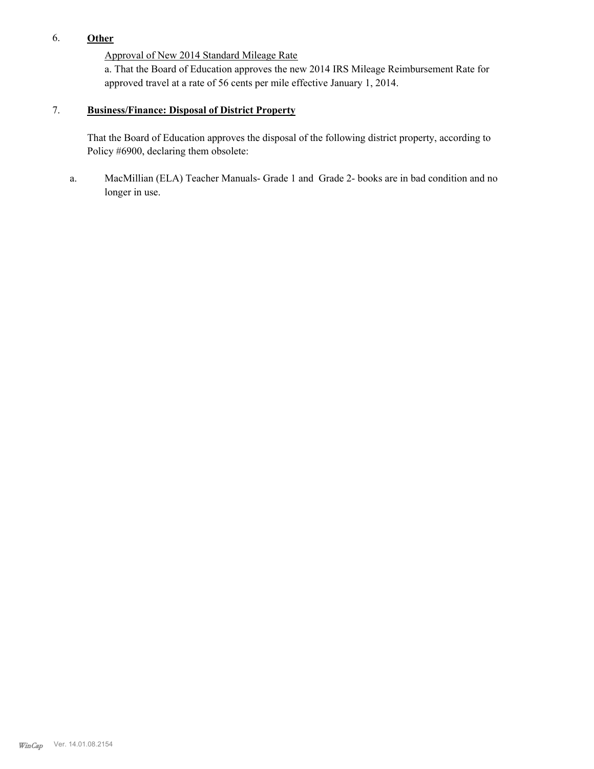# 6. **Other**

Approval of New 2014 Standard Mileage Rate

a. That the Board of Education approves the new 2014 IRS Mileage Reimbursement Rate for approved travel at a rate of 56 cents per mile effective January 1, 2014.

#### **Business/Finance: Disposal of District Property** 7.

That the Board of Education approves the disposal of the following district property, according to Policy #6900, declaring them obsolete:

MacMillian (ELA) Teacher Manuals- Grade 1 and Grade 2- books are in bad condition and no longer in use. a.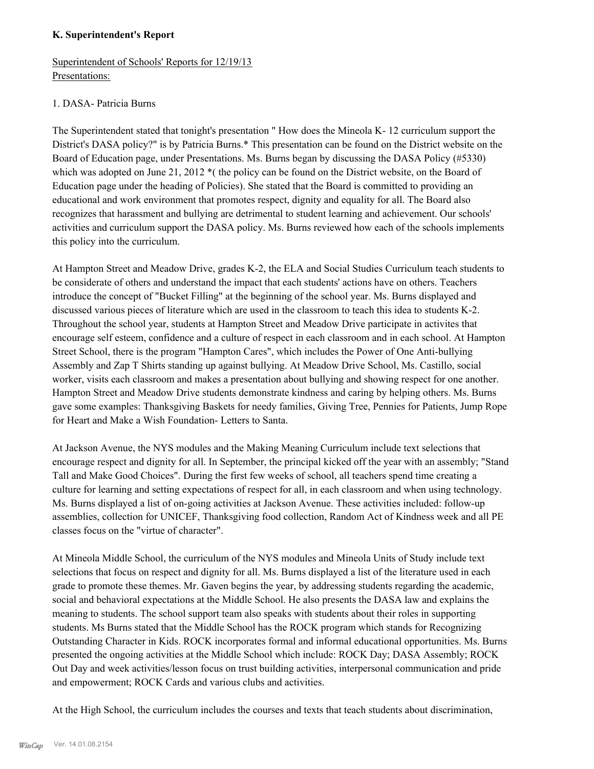#### **K. Superintendent's Report**

Superintendent of Schools' Reports for 12/19/13 Presentations:

## 1. DASA- Patricia Burns

The Superintendent stated that tonight's presentation " How does the Mineola K- 12 curriculum support the District's DASA policy?" is by Patricia Burns.\* This presentation can be found on the District website on the Board of Education page, under Presentations. Ms. Burns began by discussing the DASA Policy (#5330) which was adopted on June 21, 2012<sup>\*</sup> (the policy can be found on the District website, on the Board of Education page under the heading of Policies). She stated that the Board is committed to providing an educational and work environment that promotes respect, dignity and equality for all. The Board also recognizes that harassment and bullying are detrimental to student learning and achievement. Our schools' activities and curriculum support the DASA policy. Ms. Burns reviewed how each of the schools implements this policy into the curriculum.

At Hampton Street and Meadow Drive, grades K-2, the ELA and Social Studies Curriculum teach students to be considerate of others and understand the impact that each students' actions have on others. Teachers introduce the concept of "Bucket Filling" at the beginning of the school year. Ms. Burns displayed and discussed various pieces of literature which are used in the classroom to teach this idea to students K-2. Throughout the school year, students at Hampton Street and Meadow Drive participate in activites that encourage self esteem, confidence and a culture of respect in each classroom and in each school. At Hampton Street School, there is the program "Hampton Cares", which includes the Power of One Anti-bullying Assembly and Zap T Shirts standing up against bullying. At Meadow Drive School, Ms. Castillo, social worker, visits each classroom and makes a presentation about bullying and showing respect for one another. Hampton Street and Meadow Drive students demonstrate kindness and caring by helping others. Ms. Burns gave some examples: Thanksgiving Baskets for needy families, Giving Tree, Pennies for Patients, Jump Rope for Heart and Make a Wish Foundation- Letters to Santa.

At Jackson Avenue, the NYS modules and the Making Meaning Curriculum include text selections that encourage respect and dignity for all. In September, the principal kicked off the year with an assembly; "Stand Tall and Make Good Choices". During the first few weeks of school, all teachers spend time creating a culture for learning and setting expectations of respect for all, in each classroom and when using technology. Ms. Burns displayed a list of on-going activities at Jackson Avenue. These activities included: follow-up assemblies, collection for UNICEF, Thanksgiving food collection, Random Act of Kindness week and all PE classes focus on the "virtue of character".

At Mineola Middle School, the curriculum of the NYS modules and Mineola Units of Study include text selections that focus on respect and dignity for all. Ms. Burns displayed a list of the literature used in each grade to promote these themes. Mr. Gaven begins the year, by addressing students regarding the academic, social and behavioral expectations at the Middle School. He also presents the DASA law and explains the meaning to students. The school support team also speaks with students about their roles in supporting students. Ms Burns stated that the Middle School has the ROCK program which stands for Recognizing Outstanding Character in Kids. ROCK incorporates formal and informal educational opportunities. Ms. Burns presented the ongoing activities at the Middle School which include: ROCK Day; DASA Assembly; ROCK Out Day and week activities/lesson focus on trust building activities, interpersonal communication and pride and empowerment; ROCK Cards and various clubs and activities.

At the High School, the curriculum includes the courses and texts that teach students about discrimination,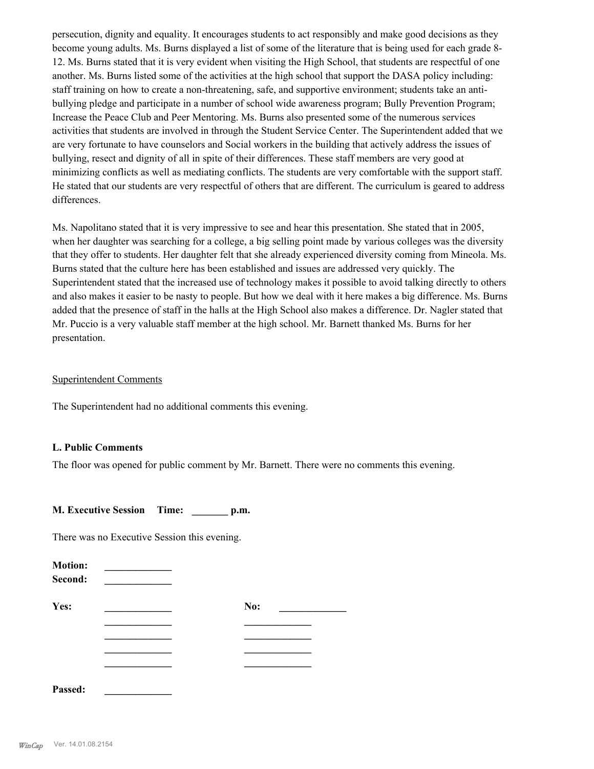persecution, dignity and equality. It encourages students to act responsibly and make good decisions as they become young adults. Ms. Burns displayed a list of some of the literature that is being used for each grade 8- 12. Ms. Burns stated that it is very evident when visiting the High School, that students are respectful of one another. Ms. Burns listed some of the activities at the high school that support the DASA policy including: staff training on how to create a non-threatening, safe, and supportive environment; students take an antibullying pledge and participate in a number of school wide awareness program; Bully Prevention Program; Increase the Peace Club and Peer Mentoring. Ms. Burns also presented some of the numerous services activities that students are involved in through the Student Service Center. The Superintendent added that we are very fortunate to have counselors and Social workers in the building that actively address the issues of bullying, resect and dignity of all in spite of their differences. These staff members are very good at minimizing conflicts as well as mediating conflicts. The students are very comfortable with the support staff. He stated that our students are very respectful of others that are different. The curriculum is geared to address differences.

Ms. Napolitano stated that it is very impressive to see and hear this presentation. She stated that in 2005, when her daughter was searching for a college, a big selling point made by various colleges was the diversity that they offer to students. Her daughter felt that she already experienced diversity coming from Mineola. Ms. Burns stated that the culture here has been established and issues are addressed very quickly. The Superintendent stated that the increased use of technology makes it possible to avoid talking directly to others and also makes it easier to be nasty to people. But how we deal with it here makes a big difference. Ms. Burns added that the presence of staff in the halls at the High School also makes a difference. Dr. Nagler stated that Mr. Puccio is a very valuable staff member at the high school. Mr. Barnett thanked Ms. Burns for her presentation.

#### Superintendent Comments

The Superintendent had no additional comments this evening.

#### **L. Public Comments**

The floor was opened for public comment by Mr. Barnett. There were no comments this evening.

**M. Executive Session Time: \_\_\_\_\_\_\_ p.m.**

There was no Executive Session this evening.

| <b>Motion:</b><br>Second: |     |  |
|---------------------------|-----|--|
| Yes:                      | No: |  |
|                           |     |  |
|                           |     |  |
|                           |     |  |
|                           |     |  |
| Passed:                   |     |  |